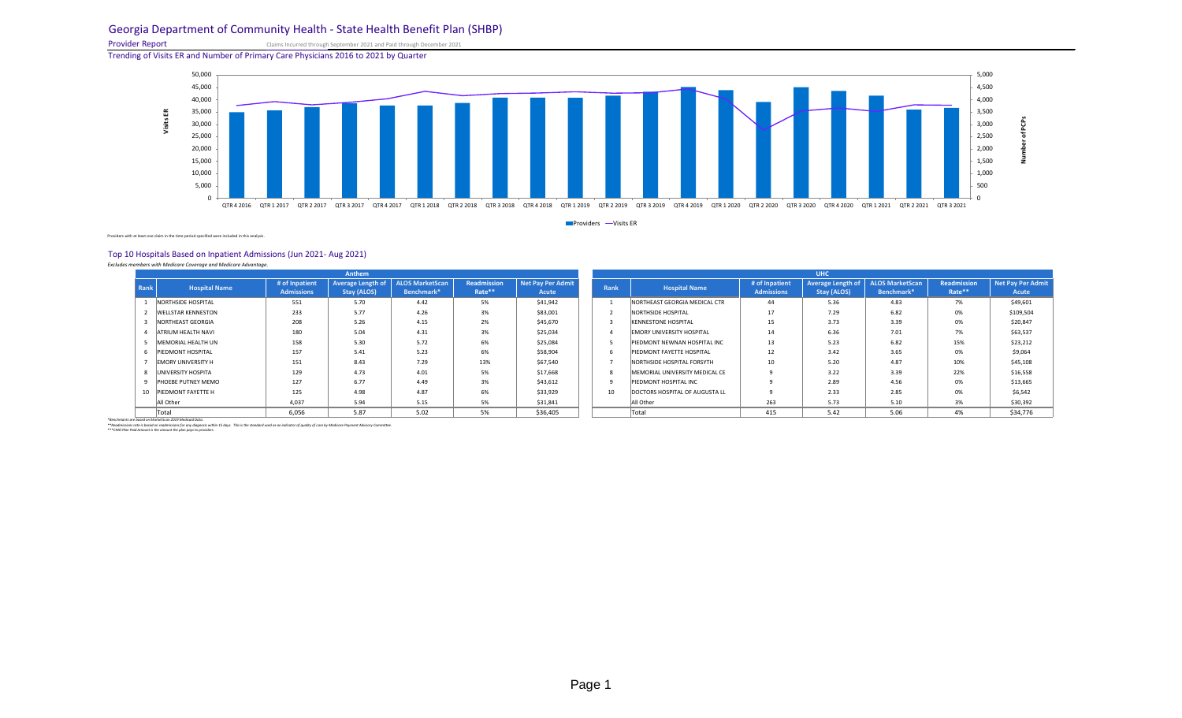### Georgia Department of Community Health - State Health Benefit Plan (SHBP)

Provider Report Claims Incurred through September 2021 and Paid through December 2021

Trending of Visits ER and Number of Primary Care Physicians 2016 to 2021 by Quarter

Providers with at least one claim in the time period specified were included in this analysis.

### Top 10 Hospitals Based on Inpatient Admissions (Jun 2021- Aug 2021)

*Excludes members with Medicare Coverage and Medicare Advantage.* 

| <b>Anthem</b> |                           |                                     |                    |                                                          |                       |                                          |                             | <b>UHC</b>                       |                                     |                                                                |            |                       |                                   |  |  |  |
|---------------|---------------------------|-------------------------------------|--------------------|----------------------------------------------------------|-----------------------|------------------------------------------|-----------------------------|----------------------------------|-------------------------------------|----------------------------------------------------------------|------------|-----------------------|-----------------------------------|--|--|--|
| Rank          | <b>Hospital Name</b>      | # of Inpatient<br><b>Admissions</b> | <b>Stay (ALOS)</b> | <b>Average Length of   ALOS MarketScan</b><br>Benchmark* | Readmission<br>Rate** | <b>Net Pay Per Admit</b><br><b>Acute</b> | Rank                        | <b>Hospital Name</b>             | # of Inpatient<br><b>Admissions</b> | <b>Average Length of ALOS MarketScan</b><br><b>Stay (ALOS)</b> | Benchmark* | Readmission<br>Rate** | <b>Net Pay Per Admit</b><br>Acute |  |  |  |
|               | NORTHSIDE HOSPITAL        | 551                                 | 5.70               | 4.42                                                     | 5%                    | \$41,942                                 |                             | NORTHEAST GEORGIA MEDICAL CTR    | 44                                  | 5.36                                                           | 4.83       | 7%                    | \$49,601                          |  |  |  |
|               | <b>WELLSTAR KENNESTON</b> | 233                                 | 5.77               | 4.26                                                     | 3%                    | \$83,001                                 |                             | NORTHSIDE HOSPITAL               | 17                                  | 7.29                                                           | 6.82       | 0%                    | \$109,504                         |  |  |  |
|               | NORTHEAST GEORGIA         | 208                                 | 5.26               | 4.15                                                     | 2%                    | \$45,670                                 |                             | <b>KENNESTONE HOSPITAL</b>       | 15                                  | 3.73                                                           | 3.39       | 0%                    | \$20,847                          |  |  |  |
|               | <b>ATRIUM HEALTH NAVI</b> | 180                                 | 5.04               | 4.31                                                     | 3%                    | \$25,034                                 |                             | <b>EMORY UNIVERSITY HOSPITAL</b> | 14                                  | 6.36                                                           | 7.01       | 7%                    | \$63,537                          |  |  |  |
|               | MEMORIAL HEALTH UN        | 158                                 | 5.30               | 5.72                                                     | 6%                    | \$25,084                                 |                             | PIEDMONT NEWNAN HOSPITAL INC     | 13                                  | 5.23                                                           | 6.82       | 15%                   | \$23,212                          |  |  |  |
|               | <b>PIEDMONT HOSPITAL</b>  | 157                                 | 5.41               | 5.23                                                     | 6%                    | \$58,904                                 | <sub>b</sub>                | PIEDMONT FAYETTE HOSPITAL        | 12                                  | 3.42                                                           | 3.65       | 0%                    | \$9,064                           |  |  |  |
|               | <b>EMORY UNIVERSITY H</b> | 151                                 | 8.43               | 7.29                                                     | 13%                   | \$67,540                                 |                             | NORTHSIDE HOSPITAL FORSYTH       | 10                                  | 5.20                                                           | 4.87       | 10%                   | \$45,108                          |  |  |  |
|               | UNIVERSITY HOSPITA        | 129                                 | 4.73               | 4.01                                                     | 5%                    | \$17,668                                 | $\mathcal{S}_{\mathcal{S}}$ | MEMORIAL UNIVERSITY MEDICAL CE   |                                     | 3.22                                                           | 3.39       | 22%                   | \$16,558                          |  |  |  |
|               | <b>PHOEBE PUTNEY MEMO</b> | 127                                 | 6.77               | 4.49                                                     | 3%                    | \$43,612                                 | $\mathsf{q}$                | <b>PIEDMONT HOSPITAL INC</b>     |                                     | 2.89                                                           | 4.56       | 0%                    | \$13,665                          |  |  |  |
|               | <b>PIEDMONT FAYETTE H</b> | 125                                 | 4.98               | 4.87                                                     | 6%                    | \$33,929                                 | 10                          | DOCTORS HOSPITAL OF AUGUSTA LL   |                                     | 2.33                                                           | 2.85       | 0%                    | \$6,542                           |  |  |  |
|               | All Other                 | 4,037                               | 5.94               | 5.15                                                     | 5%                    | \$31,841                                 |                             | All Other                        | 263                                 | 5.73                                                           | 5.10       | 3%                    | \$30,392                          |  |  |  |
|               | Total                     | 6,056                               | 5.87               | 5.02                                                     | 5%                    | \$36,405                                 |                             | <b>Total</b>                     | 415                                 | 5.42                                                           | 5.06       | 4%                    | \$34,776                          |  |  |  |

*\*Benchmarks are based on MarketScan 2019 Medicaid Data.*

*\*\*Readmissions rate is based on readmissions for any diagnosis within 15 days. This is the standard used as an indicator of quality of care by Medicare Payment Advisory Committee. \*\*\*CMO Plan Paid Amount is the amount the plan pays to providers.*



Providers -Visits ER